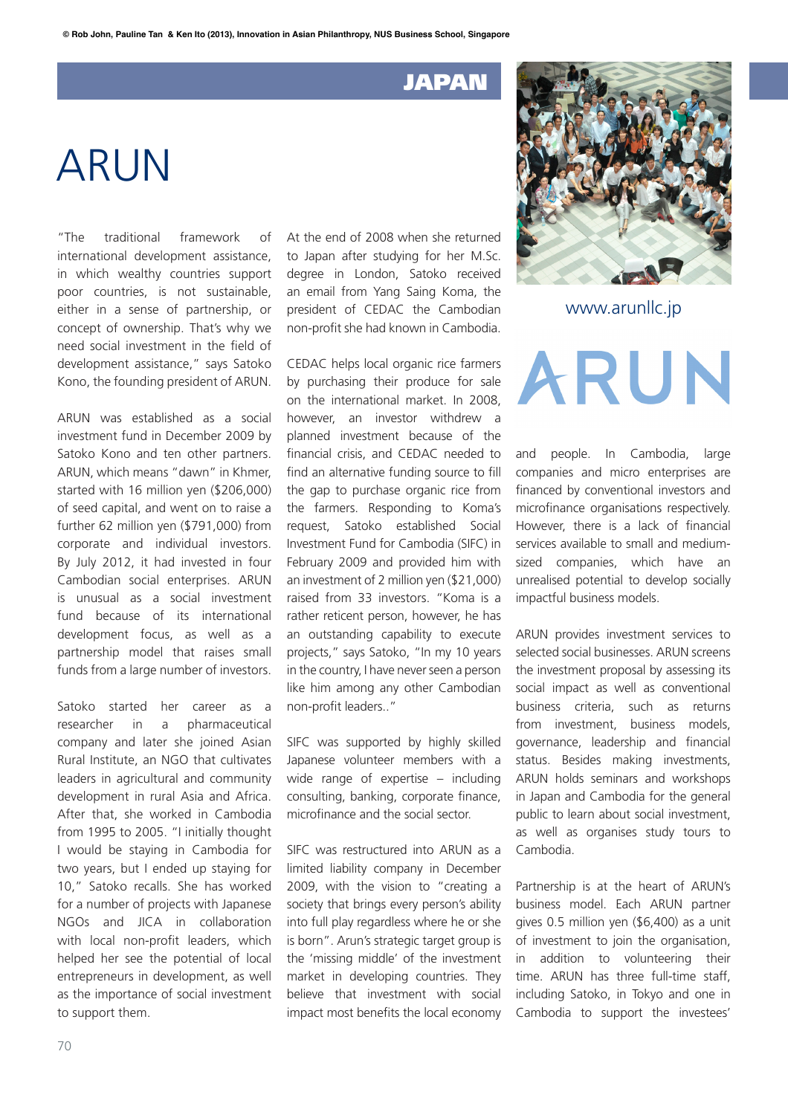## JAPAN

## ARUN

"The traditional framework of international development assistance, in which wealthy countries support poor countries, is not sustainable, either in a sense of partnership, or concept of ownership. That's why we need social investment in the field of development assistance," says Satoko Kono, the founding president of ARUN.

ARUN was established as a social investment fund in December 2009 by Satoko Kono and ten other partners. ARUN, which means "dawn" in Khmer, started with 16 million yen (\$206,000) of seed capital, and went on to raise a further 62 million yen (\$791,000) from corporate and individual investors. By July 2012, it had invested in four Cambodian social enterprises. ARUN is unusual as a social investment fund because of its international development focus, as well as a partnership model that raises small funds from a large number of investors.

Satoko started her career as a researcher in a pharmaceutical company and later she joined Asian Rural Institute, an NGO that cultivates leaders in agricultural and community development in rural Asia and Africa. After that, she worked in Cambodia from 1995 to 2005. "I initially thought I would be staying in Cambodia for two years, but I ended up staying for 10," Satoko recalls. She has worked for a number of projects with Japanese NGOs and JICA in collaboration with local non-profit leaders, which helped her see the potential of local entrepreneurs in development, as well as the importance of social investment to support them.

At the end of 2008 when she returned to Japan after studying for her M.Sc. degree in London, Satoko received an email from Yang Saing Koma, the president of CEDAC the Cambodian non-profit she had known in Cambodia.

CEDAC helps local organic rice farmers by purchasing their produce for sale on the international market. In 2008, however, an investor withdrew a planned investment because of the financial crisis, and CEDAC needed to find an alternative funding source to fill the gap to purchase organic rice from the farmers. Responding to Koma's request, Satoko established Social Investment Fund for Cambodia (SIFC) in February 2009 and provided him with an investment of 2 million yen (\$21,000) raised from 33 investors. "Koma is a rather reticent person, however, he has an outstanding capability to execute projects," says Satoko, "In my 10 years in the country, I have never seen a person like him among any other Cambodian non-profit leaders.."

SIFC was supported by highly skilled Japanese volunteer members with a wide range of expertise – including consulting, banking, corporate finance, microfinance and the social sector.

SIFC was restructured into ARUN as a limited liability company in December 2009, with the vision to "creating a society that brings every person's ability into full play regardless where he or she is born". Arun's strategic target group is the 'missing middle' of the investment market in developing countries. They believe that investment with social impact most benefits the local economy



www.arunllc.jp

ARUN

and people. In Cambodia, large companies and micro enterprises are financed by conventional investors and microfinance organisations respectively. However, there is a lack of financial services available to small and mediumsized companies, which have an unrealised potential to develop socially impactful business models.

ARUN provides investment services to selected social businesses. ARUN screens the investment proposal by assessing its social impact as well as conventional business criteria, such as returns from investment, business models, governance, leadership and financial status. Besides making investments, ARUN holds seminars and workshops in Japan and Cambodia for the general public to learn about social investment, as well as organises study tours to Cambodia.

Partnership is at the heart of ARUN's business model. Each ARUN partner gives 0.5 million yen (\$6,400) as a unit of investment to join the organisation, in addition to volunteering their time. ARUN has three full-time staff, including Satoko, in Tokyo and one in Cambodia to support the investees'